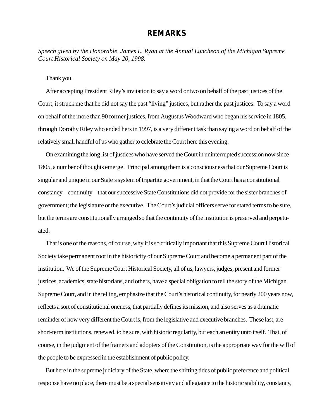## **REMARKS**

*Speech given by the Honorable James L. Ryan at the Annual Luncheon of the Michigan Supreme Court Historical Society on May 20, 1998.*

Thank you.

After accepting President Riley's invitation to say a word or two on behalf of the past justices of the Court, it struck me that he did not say the past "living" justices, but rather the past justices. To say a word on behalf of the more than 90 former justices, from Augustus Woodward who began his service in 1805, through Dorothy Riley who ended hers in 1997, is a very different task than saying a word on behalf of the relatively small handful of us who gather to celebrate the Court here this evening.

On examining the long list of justices who have served the Court in uninterrupted succession now since 1805, a number of thoughts emerge! Principal among them is a consciousness that our Supreme Court is singular and unique in our State's system of tripartite government, in that the Court has a constitutional constancy – continuity – that our successive State Constitutions did not provide for the sister branches of government; the legislature or the executive. The Court's judicial officers serve for stated terms to be sure, but the terms are constitutionally arranged so that the continuity of the institution is preserved and perpetuated.

That is one of the reasons, of course, why it is so critically important that this Supreme Court Historical Society take permanent root in the historicity of our Supreme Court and become a permanent part of the institution. We of the Supreme Court Historical Society, all of us, lawyers, judges, present and former justices, academics, state historians, and others, have a special obligation to tell the story of the Michigan Supreme Court, and in the telling, emphasize that the Court's historical continuity, for nearly 200 years now, reflects a sort of constitutional oneness, that partially defines its mission, and also serves as a dramatic reminder of how very different the Court is, from the legislative and executive branches. These last, are short-term institutions, renewed, to be sure, with historic regularity, but each an entity unto itself. That, of course, in the judgment of the framers and adopters of the Constitution, is the appropriate way for the will of the people to be expressed in the establishment of public policy.

But here in the supreme judiciary of the State, where the shifting tides of public preference and political response have no place, there must be a special sensitivity and allegiance to the historic stability, constancy,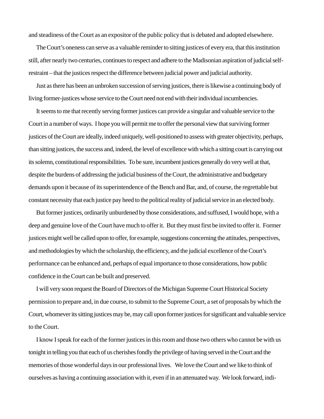and steadiness of the Court as an expositor of the public policy that is debated and adopted elsewhere.

The Court's oneness can serve as a valuable reminder to sitting justices of every era, that this institution still, after nearly two centuries, continues to respect and adhere to the Madisonian aspiration of judicial selfrestraint – that the justices respect the difference between judicial power and judicial authority.

Just as there has been an unbroken succession of serving justices, there is likewise a continuing body of living former-justices whose service to the Court need not end with their individual incumbencies.

It seems to me that recently serving former justices can provide a singular and valuable service to the Court in a number of ways. I hope you will permit me to offer the personal view that surviving former justices of the Court are ideally, indeed uniquely, well-positioned to assess with greater objectivity, perhaps, than sitting justices, the success and, indeed, the level of excellence with which a sitting court is carrying out its solemn, constitutional responsibilities. To be sure, incumbent justices generally do very well at that, despite the burdens of addressing the judicial business of the Court, the administrative and budgetary demands upon it because of its superintendence of the Bench and Bar, and, of course, the regrettable but constant necessity that each justice pay heed to the political reality of judicial service in an elected body.

But former justices, ordinarily unburdened by those considerations, and suffused, I would hope, with a deep and genuine love of the Court have much to offer it. But they must first be invited to offer it. Former justices might well be called upon to offer, for example, suggestions concerning the attitudes, perspectives, and methodologies by which the scholarship, the efficiency, and the judicial excellence of the Court's performance can be enhanced and, perhaps of equal importance to those considerations, how public confidence in the Court can be built and preserved.

I will very soon request the Board of Directors of the Michigan Supreme Court Historical Society permission to prepare and, in due course, to submit to the Supreme Court, a set of proposals by which the Court, whomever its sitting justices may be, may call upon former justices for significant and valuable service to the Court.

I know I speak for each of the former justices in this room and those two others who cannot be with us tonight in telling you that each of us cherishes fondly the privilege of having served in the Court and the memories of those wonderful days in our professional lives. We love the Court and we like to think of ourselves as having a continuing association with it, even if in an attenuated way. We look forward, indi